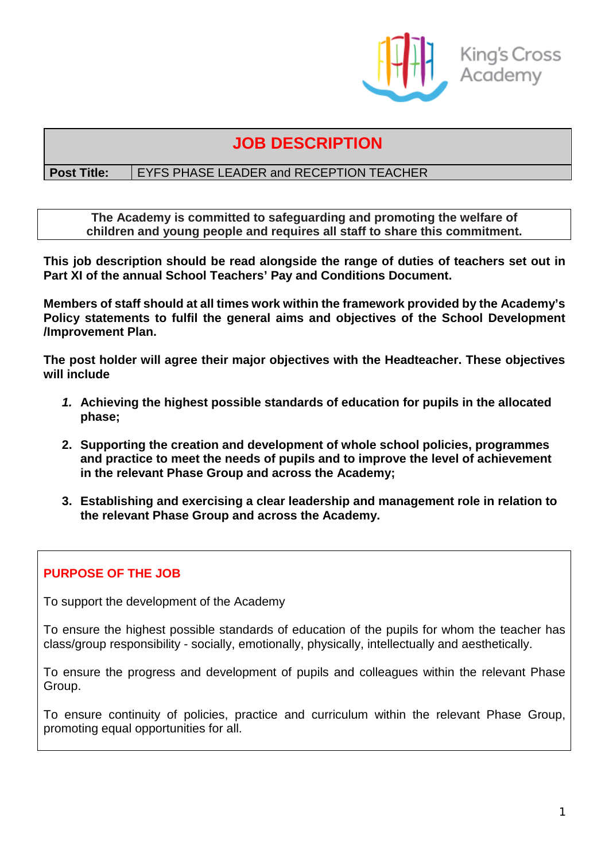

# **JOB DESCRIPTION**

# **Post Title:** | EYFS PHASE LEADER and RECEPTION TEACHER

**The Academy is committed to safeguarding and promoting the welfare of children and young people and requires all staff to share this commitment.**

**This job description should be read alongside the range of duties of teachers set out in Part XI of the annual School Teachers' Pay and Conditions Document.**

**Members of staff should at all times work within the framework provided by the Academy's Policy statements to fulfil the general aims and objectives of the School Development /Improvement Plan.**

**The post holder will agree their major objectives with the Headteacher. These objectives will include**

- *1.* **Achieving the highest possible standards of education for pupils in the allocated phase;**
- **2. Supporting the creation and development of whole school policies, programmes and practice to meet the needs of pupils and to improve the level of achievement in the relevant Phase Group and across the Academy;**
- **3. Establishing and exercising a clear leadership and management role in relation to the relevant Phase Group and across the Academy.**

# **PURPOSE OF THE JOB**

To support the development of the Academy

To ensure the highest possible standards of education of the pupils for whom the teacher has class/group responsibility - socially, emotionally, physically, intellectually and aesthetically.

To ensure the progress and development of pupils and colleagues within the relevant Phase Group.

To ensure continuity of policies, practice and curriculum within the relevant Phase Group, promoting equal opportunities for all.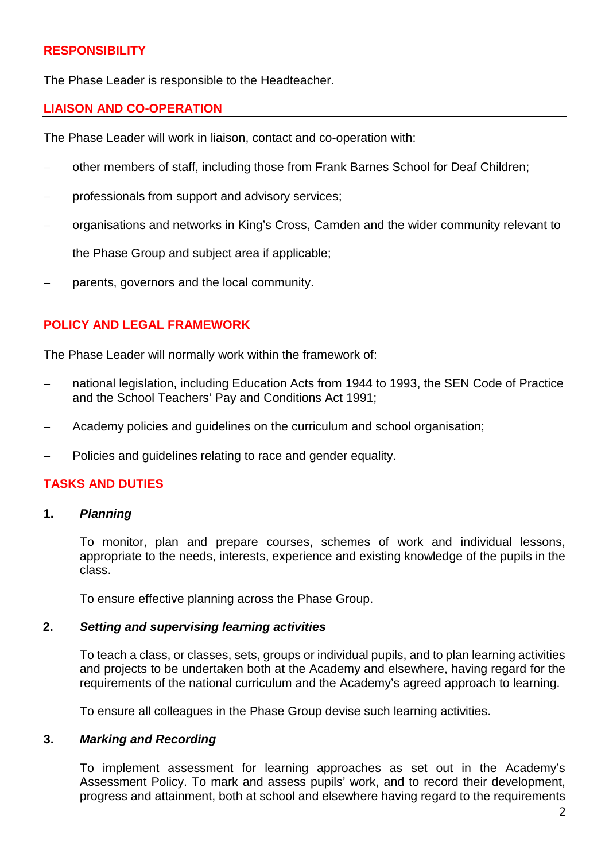The Phase Leader is responsible to the Headteacher.

# **LIAISON AND CO-OPERATION**

The Phase Leader will work in liaison, contact and co-operation with:

- other members of staff, including those from Frank Barnes School for Deaf Children;
- professionals from support and advisory services;
- − organisations and networks in King's Cross, Camden and the wider community relevant to

the Phase Group and subject area if applicable;

parents, governors and the local community.

# **POLICY AND LEGAL FRAMEWORK**

The Phase Leader will normally work within the framework of:

- national legislation, including Education Acts from 1944 to 1993, the SEN Code of Practice and the School Teachers' Pay and Conditions Act 1991;
- Academy policies and guidelines on the curriculum and school organisation;
- − Policies and guidelines relating to race and gender equality.

# **TASKS AND DUTIES**

#### **1.** *Planning*

To monitor, plan and prepare courses, schemes of work and individual lessons, appropriate to the needs, interests, experience and existing knowledge of the pupils in the class.

To ensure effective planning across the Phase Group.

# **2.** *Setting and supervising learning activities*

To teach a class, or classes, sets, groups or individual pupils, and to plan learning activities and projects to be undertaken both at the Academy and elsewhere, having regard for the requirements of the national curriculum and the Academy's agreed approach to learning.

To ensure all colleagues in the Phase Group devise such learning activities.

#### **3.** *Marking and Recording*

To implement assessment for learning approaches as set out in the Academy's Assessment Policy. To mark and assess pupils' work, and to record their development, progress and attainment, both at school and elsewhere having regard to the requirements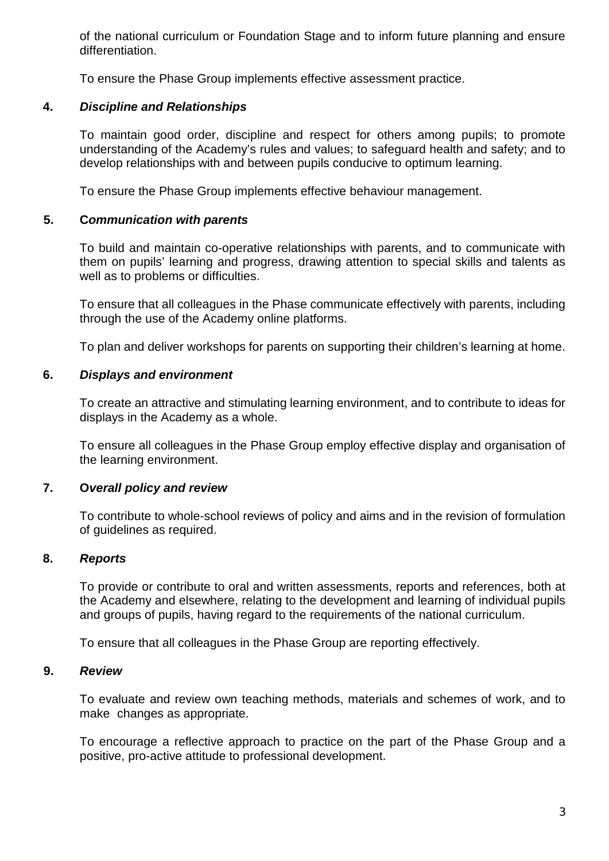of the national curriculum or Foundation Stage and to inform future planning and ensure differentiation.

To ensure the Phase Group implements effective assessment practice.

# **4.** *Discipline and Relationships*

To maintain good order, discipline and respect for others among pupils; to promote understanding of the Academy's rules and values; to safeguard health and safety; and to develop relationships with and between pupils conducive to optimum learning.

To ensure the Phase Group implements effective behaviour management.

# **5. C***ommunication with parents*

To build and maintain co-operative relationships with parents, and to communicate with them on pupils' learning and progress, drawing attention to special skills and talents as well as to problems or difficulties.

To ensure that all colleagues in the Phase communicate effectively with parents, including through the use of the Academy online platforms.

To plan and deliver workshops for parents on supporting their children's learning at home.

# **6.** *Displays and environment*

To create an attractive and stimulating learning environment, and to contribute to ideas for displays in the Academy as a whole.

To ensure all colleagues in the Phase Group employ effective display and organisation of the learning environment.

# **7. O***verall policy and review*

To contribute to whole-school reviews of policy and aims and in the revision of formulation of guidelines as required.

# **8.** *Reports*

To provide or contribute to oral and written assessments, reports and references, both at the Academy and elsewhere, relating to the development and learning of individual pupils and groups of pupils, having regard to the requirements of the national curriculum.

To ensure that all colleagues in the Phase Group are reporting effectively.

# **9.** *Review*

To evaluate and review own teaching methods, materials and schemes of work, and to make changes as appropriate.

To encourage a reflective approach to practice on the part of the Phase Group and a positive, pro-active attitude to professional development.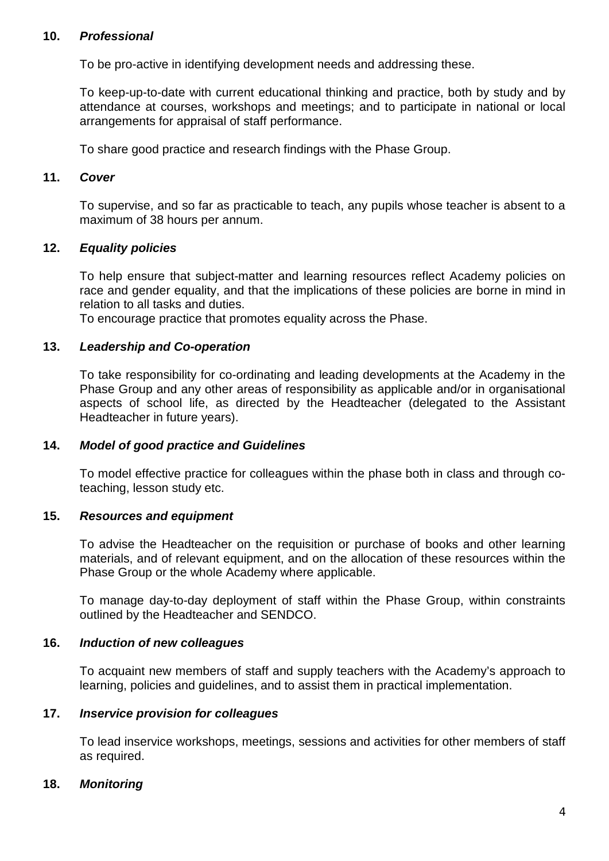### **10.** *Professional*

To be pro-active in identifying development needs and addressing these.

To keep-up-to-date with current educational thinking and practice, both by study and by attendance at courses, workshops and meetings; and to participate in national or local arrangements for appraisal of staff performance.

To share good practice and research findings with the Phase Group.

### **11.** *Cover*

To supervise, and so far as practicable to teach, any pupils whose teacher is absent to a maximum of 38 hours per annum.

#### **12.** *Equality policies*

To help ensure that subject-matter and learning resources reflect Academy policies on race and gender equality, and that the implications of these policies are borne in mind in relation to all tasks and duties.

To encourage practice that promotes equality across the Phase.

#### **13.** *Leadership and Co-operation*

To take responsibility for co-ordinating and leading developments at the Academy in the Phase Group and any other areas of responsibility as applicable and/or in organisational aspects of school life, as directed by the Headteacher (delegated to the Assistant Headteacher in future years).

#### **14.** *Model of good practice and Guidelines*

To model effective practice for colleagues within the phase both in class and through coteaching, lesson study etc.

#### **15.** *Resources and equipment*

To advise the Headteacher on the requisition or purchase of books and other learning materials, and of relevant equipment, and on the allocation of these resources within the Phase Group or the whole Academy where applicable.

To manage day-to-day deployment of staff within the Phase Group, within constraints outlined by the Headteacher and SENDCO.

#### **16.** *Induction of new colleagues*

To acquaint new members of staff and supply teachers with the Academy's approach to learning, policies and guidelines, and to assist them in practical implementation.

#### **17.** *Inservice provision for colleagues*

To lead inservice workshops, meetings, sessions and activities for other members of staff as required.

#### **18.** *Monitoring*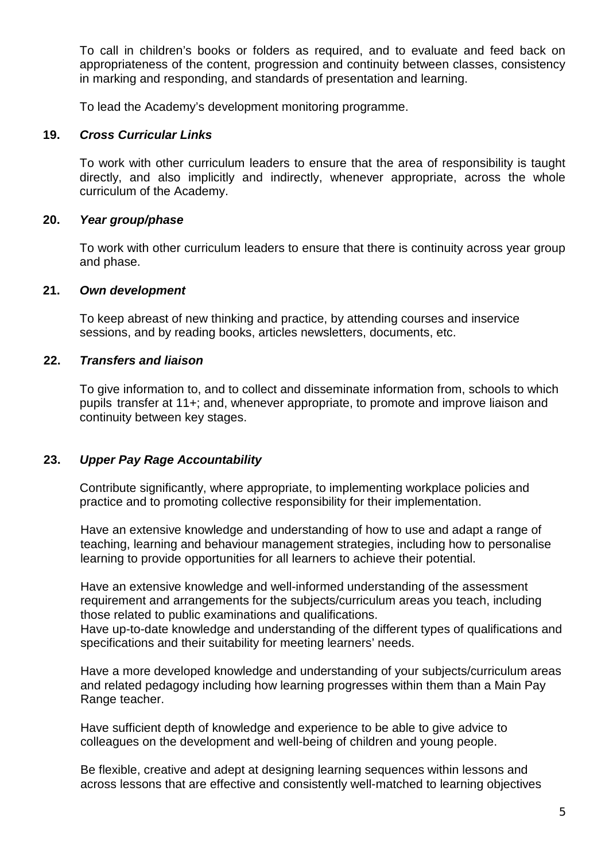To call in children's books or folders as required, and to evaluate and feed back on appropriateness of the content, progression and continuity between classes, consistency in marking and responding, and standards of presentation and learning.

To lead the Academy's development monitoring programme.

# **19.** *Cross Curricular Links*

To work with other curriculum leaders to ensure that the area of responsibility is taught directly, and also implicitly and indirectly, whenever appropriate, across the whole curriculum of the Academy.

#### **20.** *Year group/phase*

To work with other curriculum leaders to ensure that there is continuity across year group and phase.

#### **21.** *Own development*

To keep abreast of new thinking and practice, by attending courses and inservice sessions, and by reading books, articles newsletters, documents, etc.

#### **22.** *Transfers and liaison*

To give information to, and to collect and disseminate information from, schools to which pupils transfer at 11+; and, whenever appropriate, to promote and improve liaison and continuity between key stages.

# **23.** *Upper Pay Rage Accountability*

Contribute significantly, where appropriate, to implementing workplace policies and practice and to promoting collective responsibility for their implementation.

Have an extensive knowledge and understanding of how to use and adapt a range of teaching, learning and behaviour management strategies, including how to personalise learning to provide opportunities for all learners to achieve their potential.

Have an extensive knowledge and well-informed understanding of the assessment requirement and arrangements for the subjects/curriculum areas you teach, including those related to public examinations and qualifications.

Have up-to-date knowledge and understanding of the different types of qualifications and specifications and their suitability for meeting learners' needs.

Have a more developed knowledge and understanding of your subjects/curriculum areas and related pedagogy including how learning progresses within them than a Main Pay Range teacher.

Have sufficient depth of knowledge and experience to be able to give advice to colleagues on the development and well-being of children and young people.

Be flexible, creative and adept at designing learning sequences within lessons and across lessons that are effective and consistently well-matched to learning objectives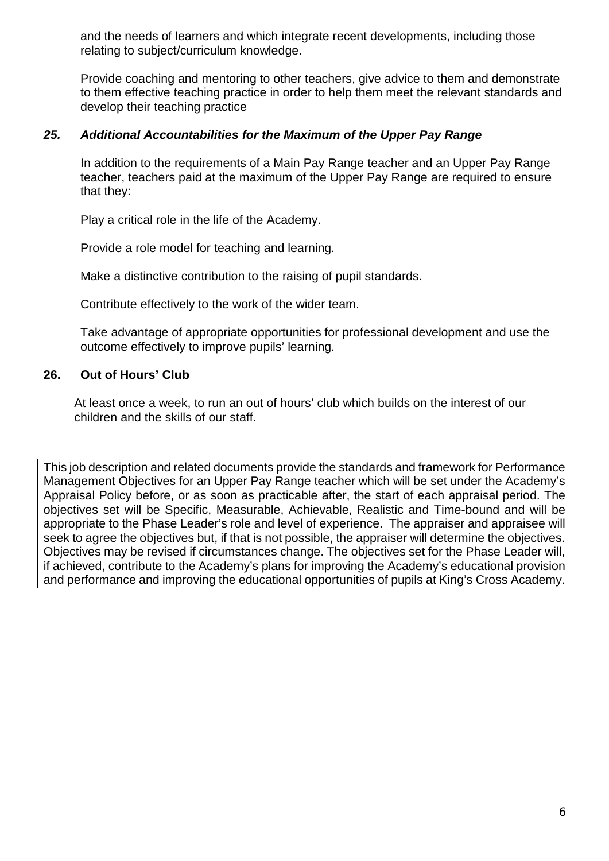and the needs of learners and which integrate recent developments, including those relating to subject/curriculum knowledge.

Provide coaching and mentoring to other teachers, give advice to them and demonstrate to them effective teaching practice in order to help them meet the relevant standards and develop their teaching practice

# *25. Additional Accountabilities for the Maximum of the Upper Pay Range*

In addition to the requirements of a Main Pay Range teacher and an Upper Pay Range teacher, teachers paid at the maximum of the Upper Pay Range are required to ensure that they:

Play a critical role in the life of the Academy.

Provide a role model for teaching and learning.

Make a distinctive contribution to the raising of pupil standards.

Contribute effectively to the work of the wider team.

Take advantage of appropriate opportunities for professional development and use the outcome effectively to improve pupils' learning.

# **26. Out of Hours' Club**

At least once a week, to run an out of hours' club which builds on the interest of our children and the skills of our staff.

This job description and related documents provide the standards and framework for Performance Management Objectives for an Upper Pay Range teacher which will be set under the Academy's Appraisal Policy before, or as soon as practicable after, the start of each appraisal period. The objectives set will be Specific, Measurable, Achievable, Realistic and Time-bound and will be appropriate to the Phase Leader's role and level of experience. The appraiser and appraisee will seek to agree the objectives but, if that is not possible, the appraiser will determine the objectives. Objectives may be revised if circumstances change. The objectives set for the Phase Leader will, if achieved, contribute to the Academy's plans for improving the Academy's educational provision and performance and improving the educational opportunities of pupils at King's Cross Academy.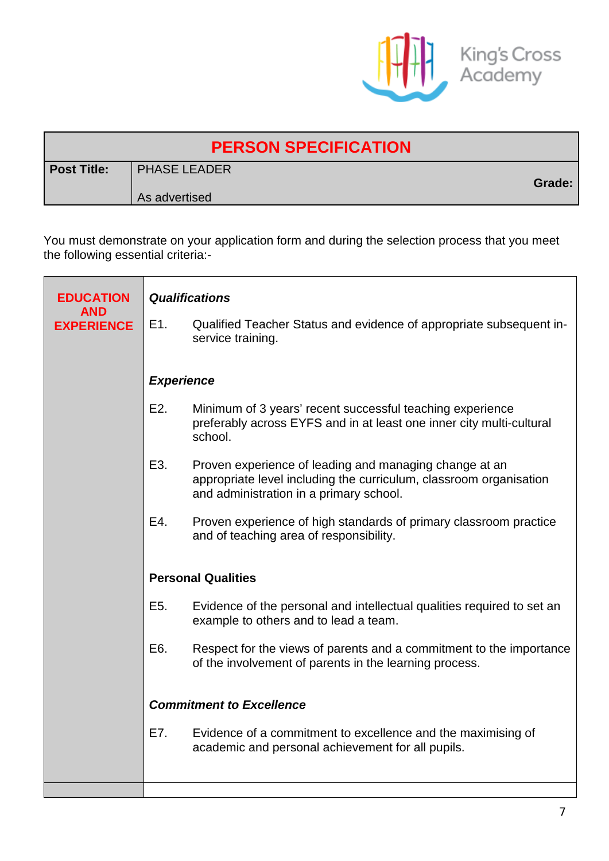

| <b>PERSON SPECIFICATION</b> |                                      |        |  |  |
|-----------------------------|--------------------------------------|--------|--|--|
| <b>Post Title:</b>          | <b>PHASE LEADER</b><br>As advertised | Grade: |  |  |
|                             |                                      |        |  |  |

You must demonstrate on your application form and during the selection process that you meet the following essential criteria:-

| <b>EDUCATION</b>                | <b>Qualifications</b>           |                                                                                                                                                                         |  |  |
|---------------------------------|---------------------------------|-------------------------------------------------------------------------------------------------------------------------------------------------------------------------|--|--|
| <b>AND</b><br><b>EXPERIENCE</b> | E1.                             | Qualified Teacher Status and evidence of appropriate subsequent in-<br>service training.                                                                                |  |  |
|                                 | <b>Experience</b>               |                                                                                                                                                                         |  |  |
|                                 | E <sub>2</sub> .                | Minimum of 3 years' recent successful teaching experience<br>preferably across EYFS and in at least one inner city multi-cultural<br>school.                            |  |  |
|                                 | E3.                             | Proven experience of leading and managing change at an<br>appropriate level including the curriculum, classroom organisation<br>and administration in a primary school. |  |  |
|                                 | E4.                             | Proven experience of high standards of primary classroom practice<br>and of teaching area of responsibility.                                                            |  |  |
|                                 | <b>Personal Qualities</b>       |                                                                                                                                                                         |  |  |
|                                 | E5.                             | Evidence of the personal and intellectual qualities required to set an<br>example to others and to lead a team.                                                         |  |  |
|                                 | E6.                             | Respect for the views of parents and a commitment to the importance<br>of the involvement of parents in the learning process.                                           |  |  |
|                                 | <b>Commitment to Excellence</b> |                                                                                                                                                                         |  |  |
|                                 | E7.                             | Evidence of a commitment to excellence and the maximising of<br>academic and personal achievement for all pupils.                                                       |  |  |
|                                 |                                 |                                                                                                                                                                         |  |  |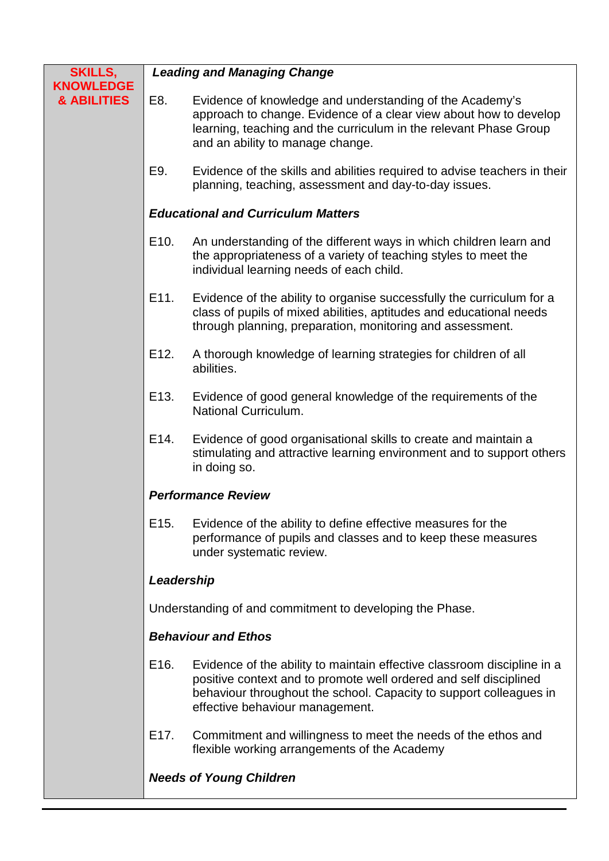| <b>SKILLS,</b><br><b>KNOWLEDGE</b> | <b>Leading and Managing Change</b>                       |                                                                                                                                                                                                                                                       |  |  |
|------------------------------------|----------------------------------------------------------|-------------------------------------------------------------------------------------------------------------------------------------------------------------------------------------------------------------------------------------------------------|--|--|
| & ABILITIES                        | E8.                                                      | Evidence of knowledge and understanding of the Academy's<br>approach to change. Evidence of a clear view about how to develop<br>learning, teaching and the curriculum in the relevant Phase Group<br>and an ability to manage change.                |  |  |
|                                    | E9.                                                      | Evidence of the skills and abilities required to advise teachers in their<br>planning, teaching, assessment and day-to-day issues.                                                                                                                    |  |  |
|                                    | <b>Educational and Curriculum Matters</b>                |                                                                                                                                                                                                                                                       |  |  |
|                                    | E <sub>10</sub> .                                        | An understanding of the different ways in which children learn and<br>the appropriateness of a variety of teaching styles to meet the<br>individual learning needs of each child.                                                                     |  |  |
|                                    | E11.                                                     | Evidence of the ability to organise successfully the curriculum for a<br>class of pupils of mixed abilities, aptitudes and educational needs<br>through planning, preparation, monitoring and assessment.                                             |  |  |
|                                    | E12.                                                     | A thorough knowledge of learning strategies for children of all<br>abilities.                                                                                                                                                                         |  |  |
|                                    | E13.                                                     | Evidence of good general knowledge of the requirements of the<br>National Curriculum.                                                                                                                                                                 |  |  |
|                                    | E14.                                                     | Evidence of good organisational skills to create and maintain a<br>stimulating and attractive learning environment and to support others<br>in doing so.                                                                                              |  |  |
|                                    | <b>Performance Review</b>                                |                                                                                                                                                                                                                                                       |  |  |
|                                    | E15.                                                     | Evidence of the ability to define effective measures for the<br>performance of pupils and classes and to keep these measures<br>under systematic review.                                                                                              |  |  |
|                                    | Leadership                                               |                                                                                                                                                                                                                                                       |  |  |
|                                    | Understanding of and commitment to developing the Phase. |                                                                                                                                                                                                                                                       |  |  |
|                                    | <b>Behaviour and Ethos</b>                               |                                                                                                                                                                                                                                                       |  |  |
|                                    | E16.                                                     | Evidence of the ability to maintain effective classroom discipline in a<br>positive context and to promote well ordered and self disciplined<br>behaviour throughout the school. Capacity to support colleagues in<br>effective behaviour management. |  |  |
|                                    | E17.                                                     | Commitment and willingness to meet the needs of the ethos and<br>flexible working arrangements of the Academy                                                                                                                                         |  |  |
|                                    |                                                          | <b>Needs of Young Children</b>                                                                                                                                                                                                                        |  |  |